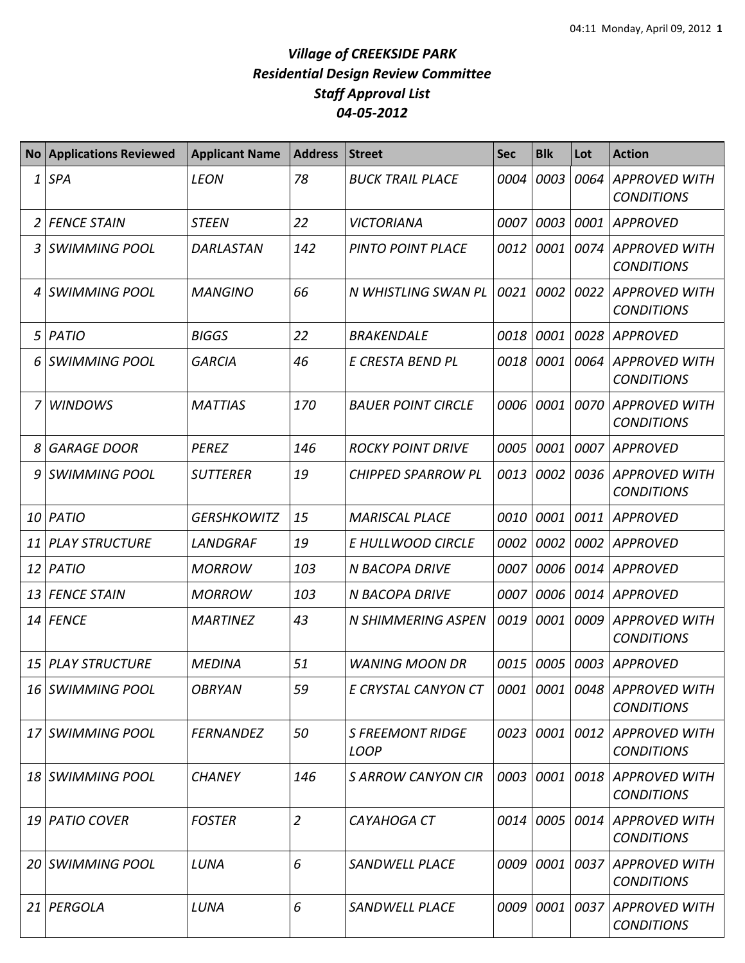| <b>No</b> | <b>Applications Reviewed</b> | <b>Applicant Name</b> | <b>Address</b> | <b>Street</b>                                            | <b>Sec</b> | <b>Blk</b> | Lot  | <b>Action</b>                             |
|-----------|------------------------------|-----------------------|----------------|----------------------------------------------------------|------------|------------|------|-------------------------------------------|
| 1         | <b>SPA</b>                   | <b>LEON</b>           | 78             | <b>BUCK TRAIL PLACE</b>                                  | 0004       | 0003       | 0064 | <b>APPROVED WITH</b><br><b>CONDITIONS</b> |
| 2         | <b>FENCE STAIN</b>           | <b>STEEN</b>          | 22             | VICTORIANA                                               | 0007       | 0003       | 0001 | <b>APPROVED</b>                           |
| 3         | <b>SWIMMING POOL</b>         | DARLASTAN             | 142            | PINTO POINT PLACE                                        | 0012       | 0001       | 0074 | <b>APPROVED WITH</b><br><b>CONDITIONS</b> |
|           | 4 SWIMMING POOL              | <b>MANGINO</b>        | 66             | N WHISTLING SWAN PL                                      | 0021       | 0002       | 0022 | <b>APPROVED WITH</b><br><b>CONDITIONS</b> |
| 5         | PATIO                        | <b>BIGGS</b>          | 22             | <b>BRAKENDALE</b>                                        | 0018       | 0001       | 0028 | <b>APPROVED</b>                           |
| 6         | <b>SWIMMING POOL</b>         | <b>GARCIA</b>         | 46             | E CRESTA BEND PL                                         | 0018       | 0001       | 0064 | <b>APPROVED WITH</b><br><b>CONDITIONS</b> |
|           | <b>WINDOWS</b>               | <b>MATTIAS</b>        | 170            | <b>BAUER POINT CIRCLE</b>                                | 0006       | 0001       | 0070 | <b>APPROVED WITH</b><br><b>CONDITIONS</b> |
| 8         | <b>GARAGE DOOR</b>           | <b>PEREZ</b>          | 146            | <b>ROCKY POINT DRIVE</b>                                 | 0005       | 0001       | 0007 | APPROVED                                  |
| 9         | <b>SWIMMING POOL</b>         | <b>SUTTERER</b>       | 19             | <b>CHIPPED SPARROW PL</b>                                | 0013       | 0002       |      | 0036 APPROVED WITH<br><b>CONDITIONS</b>   |
| 10        | PATIO                        | <b>GERSHKOWITZ</b>    | 15             | <b>MARISCAL PLACE</b>                                    | 0010       | 0001       |      | 0011 APPROVED                             |
| 11        | <b>PLAY STRUCTURE</b>        | LANDGRAF              | 19             | E HULLWOOD CIRCLE                                        | 0002       | 0002       |      | 0002 APPROVED                             |
| 12        | PATIO                        | <b>MORROW</b>         | 103            | <b>N BACOPA DRIVE</b>                                    | 0007       | 0006       | 0014 | <b>APPROVED</b>                           |
| 13        | <b>FENCE STAIN</b>           | <b>MORROW</b>         | 103            | <b>N BACOPA DRIVE</b>                                    | 0007       | 0006       |      | 0014 APPROVED                             |
| 14        | <b>FENCE</b>                 | <b>MARTINEZ</b>       | 43             | N SHIMMERING ASPEN                                       | 0019       | 0001       |      | 0009 APPROVED WITH<br><b>CONDITIONS</b>   |
| 15        | <b>PLAY STRUCTURE</b>        | <b>MEDINA</b>         | 51             | <b>WANING MOON DR</b>                                    | 0015       | 0005       | 0003 | <b>APPROVED</b>                           |
|           | 16   SWIMMING POOL           | <b>OBRYAN</b>         | 59             | E CRYSTAL CANYON CT   0001   0001   0048   APPROVED WITH |            |            |      | <b>CONDITIONS</b>                         |
|           | 17 SWIMMING POOL             | <b>FERNANDEZ</b>      | 50             | <b>S FREEMONT RIDGE</b><br><b>LOOP</b>                   | 0023       | 0001       |      | 0012 APPROVED WITH<br><b>CONDITIONS</b>   |
|           | 18 SWIMMING POOL             | <b>CHANEY</b>         | 146            | <b>SARROW CANYON CIR</b>                                 | 0003       | 0001       |      | 0018 APPROVED WITH<br><b>CONDITIONS</b>   |
|           | 19 PATIO COVER               | <b>FOSTER</b>         | $\overline{2}$ | CAYAHOGA CT                                              |            | 0014 0005  |      | 0014 APPROVED WITH<br><b>CONDITIONS</b>   |
|           | 20 SWIMMING POOL             | LUNA                  | 6              | SANDWELL PLACE                                           | 0009 0001  |            |      | 0037 APPROVED WITH<br><b>CONDITIONS</b>   |
|           | 21 PERGOLA                   | LUNA                  | 6              | <b>SANDWELL PLACE</b>                                    | 0009 0001  |            |      | 0037 APPROVED WITH<br><b>CONDITIONS</b>   |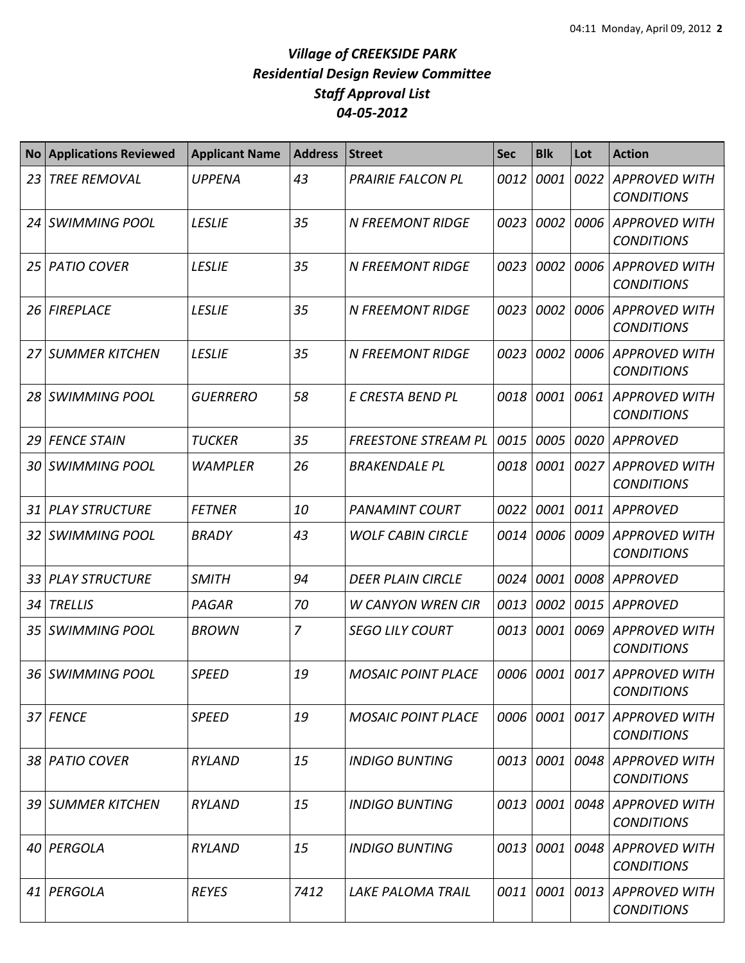| <b>No</b>       | <b>Applications Reviewed</b> | <b>Applicant Name</b> | <b>Address</b> | <b>Street</b>              | <b>Sec</b> | <b>Blk</b> | Lot  | <b>Action</b>                             |
|-----------------|------------------------------|-----------------------|----------------|----------------------------|------------|------------|------|-------------------------------------------|
| 23              | <b>TREE REMOVAL</b>          | <b>UPPENA</b>         | 43             | <b>PRAIRIE FALCON PL</b>   | 0012       | 0001       | 0022 | <b>APPROVED WITH</b><br><b>CONDITIONS</b> |
| <b>24</b>       | <b>SWIMMING POOL</b>         | <b>LESLIE</b>         | 35             | <b>N FREEMONT RIDGE</b>    | 0023       | 0002       | 0006 | APPROVED WITH<br><b>CONDITIONS</b>        |
| 25 I            | <b>PATIO COVER</b>           | <b>LESLIE</b>         | 35             | <b>N FREEMONT RIDGE</b>    | 0023       | 0002       | 0006 | APPROVED WITH<br><b>CONDITIONS</b>        |
| 26 <sup>1</sup> | <b>FIREPLACE</b>             | <b>LESLIE</b>         | 35             | <b>N FREEMONT RIDGE</b>    | 0023       | 0002       |      | 0006 APPROVED WITH<br><b>CONDITIONS</b>   |
| 27              | <b>SUMMER KITCHEN</b>        | <b>LESLIE</b>         | 35             | <b>N FREEMONT RIDGE</b>    | 0023       | 0002       |      | 0006 APPROVED WITH<br><b>CONDITIONS</b>   |
| 28              | <b>SWIMMING POOL</b>         | <b>GUERRERO</b>       | 58             | E CRESTA BEND PL           | 0018       | 0001       | 0061 | <b>APPROVED WITH</b><br><b>CONDITIONS</b> |
| 29              | <b>FENCE STAIN</b>           | <b>TUCKER</b>         | 35             | <b>FREESTONE STREAM PL</b> | 0015       | 0005       | 0020 | APPROVED                                  |
| 30              | <b>SWIMMING POOL</b>         | <b>WAMPLER</b>        | 26             | <b>BRAKENDALE PL</b>       | 0018       | 0001       | 0027 | <b>APPROVED WITH</b><br><b>CONDITIONS</b> |
| 31              | <b>PLAY STRUCTURE</b>        | <b>FETNER</b>         | 10             | <b>PANAMINT COURT</b>      | 0022       | 0001       | 0011 | <b>APPROVED</b>                           |
| 32              | <b>SWIMMING POOL</b>         | <b>BRADY</b>          | 43             | <b>WOLF CABIN CIRCLE</b>   | 0014       | 0006       |      | 0009 APPROVED WITH<br><b>CONDITIONS</b>   |
| 33              | <b>PLAY STRUCTURE</b>        | <b>SMITH</b>          | 94             | <b>DEER PLAIN CIRCLE</b>   | 0024       | 0001       | 0008 | <b>APPROVED</b>                           |
| 34              | <b>TRELLIS</b>               | PAGAR                 | 70             | <b>W CANYON WREN CIR</b>   | 0013       | 0002       | 0015 | <b>APPROVED</b>                           |
| 35              | <b>SWIMMING POOL</b>         | <b>BROWN</b>          | 7              | <b>SEGO LILY COURT</b>     | 0013       | 0001       |      | 0069 APPROVED WITH<br><b>CONDITIONS</b>   |
| 36              | <b>SWIMMING POOL</b>         | <b>SPEED</b>          | 19             | <b>MOSAIC POINT PLACE</b>  | 0006       | 0001       |      | 0017 APPROVED WITH<br><b>CONDITIONS</b>   |
|                 | 37 FENCE                     | <b>SPEED</b>          | 19             | <b>MOSAIC POINT PLACE</b>  | 0006       | 0001       | 0017 | APPROVED WITH<br><b>CONDITIONS</b>        |
|                 | 38 PATIO COVER               | <b>RYLAND</b>         | 15             | <b>INDIGO BUNTING</b>      | 0013       | 0001       |      | 0048 APPROVED WITH<br><b>CONDITIONS</b>   |
|                 | 39 SUMMER KITCHEN            | <b>RYLAND</b>         | 15             | <b>INDIGO BUNTING</b>      | 0013       | 0001       |      | 0048 APPROVED WITH<br><b>CONDITIONS</b>   |
|                 | 40 PERGOLA                   | <b>RYLAND</b>         | 15             | <b>INDIGO BUNTING</b>      | 0013       | 0001       |      | 0048 APPROVED WITH<br><b>CONDITIONS</b>   |
| 41              | PERGOLA                      | <b>REYES</b>          | 7412           | LAKE PALOMA TRAIL          | 0011       | 0001       |      | 0013 APPROVED WITH<br><b>CONDITIONS</b>   |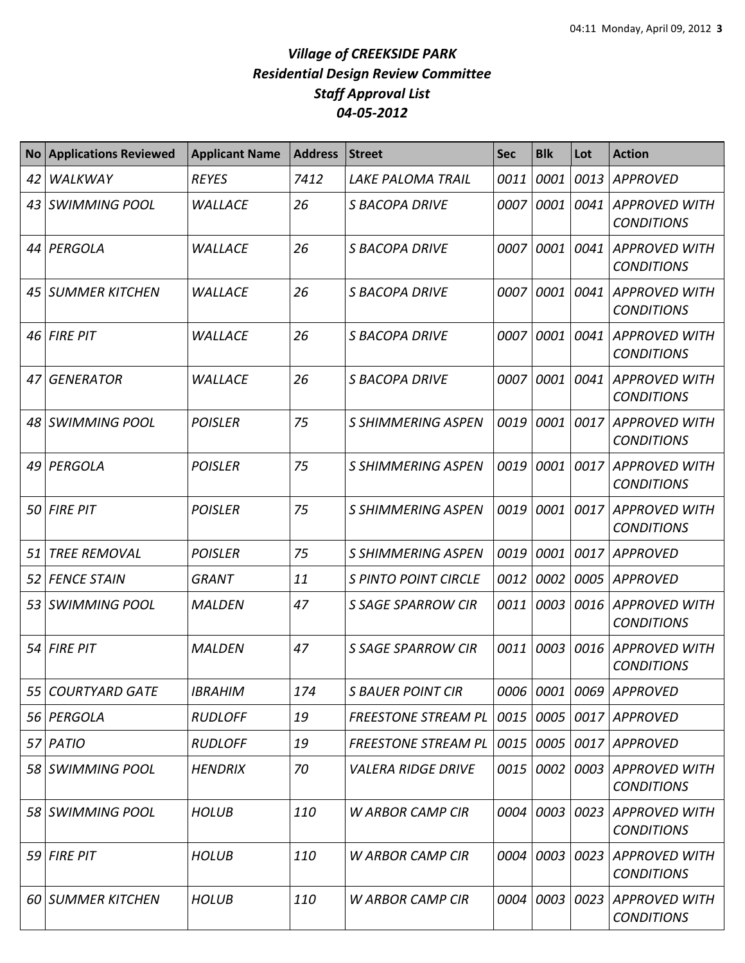| <b>No</b> | <b>Applications Reviewed</b> | <b>Applicant Name</b> | <b>Address</b> | <b>Street</b>               | <b>Sec</b> | <b>Blk</b> | Lot  | <b>Action</b>                             |
|-----------|------------------------------|-----------------------|----------------|-----------------------------|------------|------------|------|-------------------------------------------|
| 42        | WALKWAY                      | <b>REYES</b>          | 7412           | <b>LAKE PALOMA TRAIL</b>    | 0011       | 0001       |      | 0013 APPROVED                             |
| 43        | <b>SWIMMING POOL</b>         | <b>WALLACE</b>        | 26             | <b>S BACOPA DRIVE</b>       | 0007       | 0001       | 0041 | <b>APPROVED WITH</b><br><b>CONDITIONS</b> |
| 44        | PERGOLA                      | <b>WALLACE</b>        | 26             | S BACOPA DRIVE              | 0007       | 0001       | 0041 | <b>APPROVED WITH</b><br><b>CONDITIONS</b> |
| 45        | <b>SUMMER KITCHEN</b>        | <b>WALLACE</b>        | 26             | <b>S BACOPA DRIVE</b>       | 0007       | 0001       | 0041 | <b>APPROVED WITH</b><br><b>CONDITIONS</b> |
| 46        | <b>FIRE PIT</b>              | <b>WALLACE</b>        | 26             | <b>S BACOPA DRIVE</b>       | 0007       | 0001       | 0041 | <b>APPROVED WITH</b><br><b>CONDITIONS</b> |
| 47        | <b>GENERATOR</b>             | <b>WALLACE</b>        | 26             | S BACOPA DRIVE              | 0007       | 0001       | 0041 | <b>APPROVED WITH</b><br><b>CONDITIONS</b> |
|           | 48 SWIMMING POOL             | <b>POISLER</b>        | 75             | S SHIMMERING ASPEN          | 0019       | 0001       | 0017 | <b>APPROVED WITH</b><br><b>CONDITIONS</b> |
| 49        | PERGOLA                      | <b>POISLER</b>        | 75             | S SHIMMERING ASPEN          | 0019       | 0001       | 0017 | <b>APPROVED WITH</b><br><b>CONDITIONS</b> |
| 50        | <b>FIRE PIT</b>              | <b>POISLER</b>        | 75             | S SHIMMERING ASPEN          | 0019       | 0001       | 0017 | <b>APPROVED WITH</b><br><b>CONDITIONS</b> |
| 51        | <b>TREE REMOVAL</b>          | <b>POISLER</b>        | 75             | S SHIMMERING ASPEN          | 0019       | 0001       | 0017 | <b>APPROVED</b>                           |
| 52        | <b>FENCE STAIN</b>           | <b>GRANT</b>          | 11             | <b>S PINTO POINT CIRCLE</b> | 0012       | 0002       |      | 0005 APPROVED                             |
| 531       | <b>SWIMMING POOL</b>         | <b>MALDEN</b>         | 47             | <b>S SAGE SPARROW CIR</b>   | 0011       | 0003       |      | 0016 APPROVED WITH<br><b>CONDITIONS</b>   |
| 54        | <b>FIRE PIT</b>              | <b>MALDEN</b>         | 47             | <b>S SAGE SPARROW CIR</b>   | 0011       | 0003       |      | 0016 APPROVED WITH<br><b>CONDITIONS</b>   |
|           | 55 COURTYARD GATE            | <b>IBRAHIM</b>        | 174            | <b>S BAUER POINT CIR</b>    |            |            |      | 0006   0001   0069   APPROVED             |
| 56        | PERGOLA                      | <b>RUDLOFF</b>        | 19             | <b>FREESTONE STREAM PL</b>  | 0015       | 0005       |      | 0017 APPROVED                             |
|           | $57$   PATIO                 | <b>RUDLOFF</b>        | 19             | <b>FREESTONE STREAM PL</b>  | 0015       | 0005       |      | 0017 APPROVED                             |
|           | 58 SWIMMING POOL             | <b>HENDRIX</b>        | 70             | <b>VALERA RIDGE DRIVE</b>   | 0015       | 0002       |      | 0003 APPROVED WITH<br><b>CONDITIONS</b>   |
|           | 58 SWIMMING POOL             | <b>HOLUB</b>          | 110            | <b>W ARBOR CAMP CIR</b>     | 0004       | 0003       |      | 0023 APPROVED WITH<br><b>CONDITIONS</b>   |
|           | $59$ FIRE PIT                | <b>HOLUB</b>          | 110            | <b>W ARBOR CAMP CIR</b>     | 0004       | 0003       | 0023 | APPROVED WITH<br><b>CONDITIONS</b>        |
|           | 60 SUMMER KITCHEN            | <b>HOLUB</b>          | 110            | <b>W ARBOR CAMP CIR</b>     | 0004       | 0003       | 0023 | <b>APPROVED WITH</b><br><b>CONDITIONS</b> |